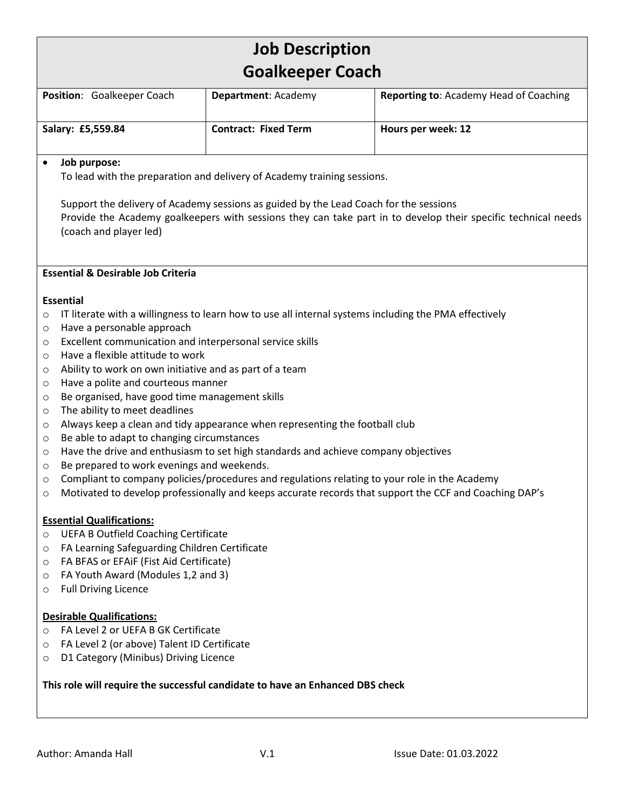# **Job Description Goalkeeper Coach**

| Position: Goalkeeper Coach | <b>Department: Academy</b>  | <b>Reporting to: Academy Head of Coaching</b> |
|----------------------------|-----------------------------|-----------------------------------------------|
| Salary: £5,559.84          | <b>Contract: Fixed Term</b> | Hours per week: 12                            |

#### • **Job purpose:**

To lead with the preparation and delivery of Academy training sessions.

Support the delivery of Academy sessions as guided by the Lead Coach for the sessions Provide the Academy goalkeepers with sessions they can take part in to develop their specific technical needs (coach and player led)

#### **Essential & Desirable Job Criteria**

#### **Essential**

- $\circ$  IT literate with a willingness to learn how to use all internal systems including the PMA effectively
- o Have a personable approach
- o Excellent communication and interpersonal service skills
- o Have a flexible attitude to work
- o Ability to work on own initiative and as part of a team
- o Have a polite and courteous manner
- o Be organised, have good time management skills
- o The ability to meet deadlines
- o Always keep a clean and tidy appearance when representing the football club
- o Be able to adapt to changing circumstances
- $\circ$  Have the drive and enthusiasm to set high standards and achieve company objectives
- o Be prepared to work evenings and weekends.
- $\circ$  Compliant to company policies/procedures and regulations relating to your role in the Academy
- o Motivated to develop professionally and keeps accurate records that support the CCF and Coaching DAP's

#### **Essential Qualifications:**

- o UEFA B Outfield Coaching Certificate
- o FA Learning Safeguarding Children Certificate
- o FA BFAS or EFAiF (Fist Aid Certificate)
- o FA Youth Award (Modules 1,2 and 3)
- o Full Driving Licence

#### **Desirable Qualifications:**

- o FA Level 2 or UEFA B GK Certificate
- o FA Level 2 (or above) Talent ID Certificate
- o D1 Category (Minibus) Driving Licence

#### **This role will require the successful candidate to have an Enhanced DBS check**